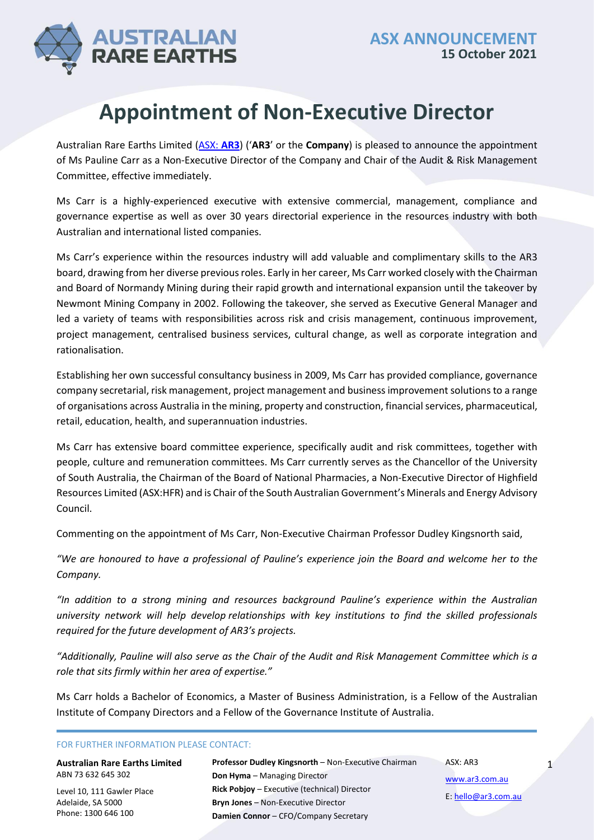1



## **Appointment of Non-Executive Director**

Australian Rare Earths Limited [\(ASX:](https://www2.asx.com.au/markets/company/AR3) **AR3**) ('**AR3**' or the **Company**) is pleased to announce the appointment of Ms Pauline Carr as a Non-Executive Director of the Company and Chair of the Audit & Risk Management Committee, effective immediately.

Ms Carr is a highly-experienced executive with extensive commercial, management, compliance and governance expertise as well as over 30 years directorial experience in the resources industry with both Australian and international listed companies.

Ms Carr's experience within the resources industry will add valuable and complimentary skills to the AR3 board, drawing from her diverse previous roles. Early in her career, Ms Carr worked closely with the Chairman and Board of Normandy Mining during their rapid growth and international expansion until the takeover by Newmont Mining Company in 2002. Following the takeover, she served as Executive General Manager and led a variety of teams with responsibilities across risk and crisis management, continuous improvement, project management, centralised business services, cultural change, as well as corporate integration and rationalisation.

Establishing her own successful consultancy business in 2009, Ms Carr has provided compliance, governance company secretarial, risk management, project management and business improvement solutions to a range of organisations across Australia in the mining, property and construction, financial services, pharmaceutical, retail, education, health, and superannuation industries.

Ms Carr has extensive board committee experience, specifically audit and risk committees, together with people, culture and remuneration committees. Ms Carr currently serves as the Chancellor of the University of South Australia, the Chairman of the Board of National Pharmacies, a Non-Executive Director of Highfield Resources Limited (ASX:HFR) and is Chair of the South Australian Government's Minerals and Energy Advisory Council.

Commenting on the appointment of Ms Carr, Non-Executive Chairman Professor Dudley Kingsnorth said,

*"We are honoured to have a professional of Pauline's experience join the Board and welcome her to the Company.* 

*"In addition to a strong mining and resources background Pauline's experience within the Australian university network will help develop relationships with key institutions to find the skilled professionals required for the future development of AR3's projects.*

*"Additionally, Pauline will also serve as the Chair of the Audit and Risk Management Committee which is a role that sits firmly within her area of expertise."*

Ms Carr holds a Bachelor of Economics, a Master of Business Administration, is a Fellow of the Australian Institute of Company Directors and a Fellow of the Governance Institute of Australia.

FOR FURTHER INFORMATION PLEASE CONTACT:

| <b>Australian Rare Earths Limited</b> | Professor Dudley Kingsnorth - Non-Executive Chairman | ASX: AR3            |  |
|---------------------------------------|------------------------------------------------------|---------------------|--|
| ABN 73 632 645 302                    | Don Hyma - Managing Director                         | www.ar3.com.au      |  |
| Level 10, 111 Gawler Place            | <b>Rick Pobjoy - Executive (technical) Director</b>  | E: hello@ar3.com.au |  |
| Adelaide, SA 5000                     | <b>Bryn Jones - Non-Executive Director</b>           |                     |  |
| Phone: 1300 646 100                   | Damien Connor - CFO/Company Secretary                |                     |  |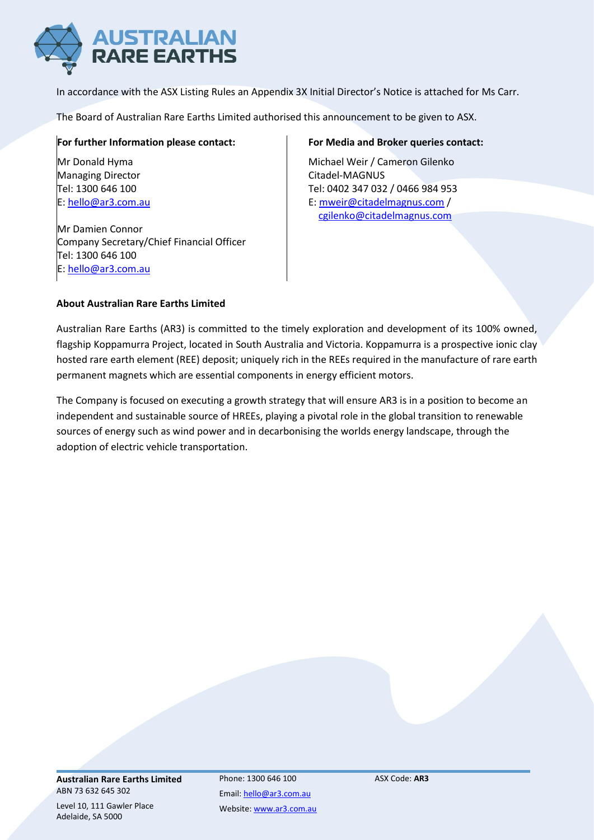

In accordance with the ASX Listing Rules an Appendix 3X Initial Director's Notice is attached for Ms Carr.

The Board of Australian Rare Earths Limited authorised this announcement to be given to ASX.

### **For further Information please contact:**

Mr Donald Hyma Managing Director Tel: 1300 646 100 E: [hello@ar3.com.au](mailto:hello@ar3.com.au)

Mr Damien Connor Company Secretary/Chief Financial Officer Tel: 1300 646 100 E: [hello@ar3.com.au](mailto:hello@ar3.com.au)

### **For Media and Broker queries contact:**

Michael Weir / Cameron Gilenko Citadel-MAGNUS Tel: 0402 347 032 / 0466 984 953 E: [mweir@citadelmagnus.com](mailto:mweir@citadelmagnus.com) / [cgilenko@citadelmagnus.com](mailto:cgilenko@citadelmagnus.com)

### **About Australian Rare Earths Limited**

Australian Rare Earths (AR3) is committed to the timely exploration and development of its 100% owned, flagship Koppamurra Project, located in South Australia and Victoria. Koppamurra is a prospective ionic clay hosted rare earth element (REE) deposit; uniquely rich in the REEs required in the manufacture of rare earth permanent magnets which are essential components in energy efficient motors.

The Company is focused on executing a growth strategy that will ensure AR3 is in a position to become an independent and sustainable source of HREEs, playing a pivotal role in the global transition to renewable sources of energy such as wind power and in decarbonising the worlds energy landscape, through the adoption of electric vehicle transportation.

**Australian Rare Earths Limited** ABN 73 632 645 302

Level 10, 111 Gawler Place Adelaide, SA 5000

Phone: 1300 646 100 Email[: hello@ar3.com.au](mailto:hello@ar3.com.au) Website[: www.ar3.com.au](http://www.ar3.com.au/) ASX Code: **AR3**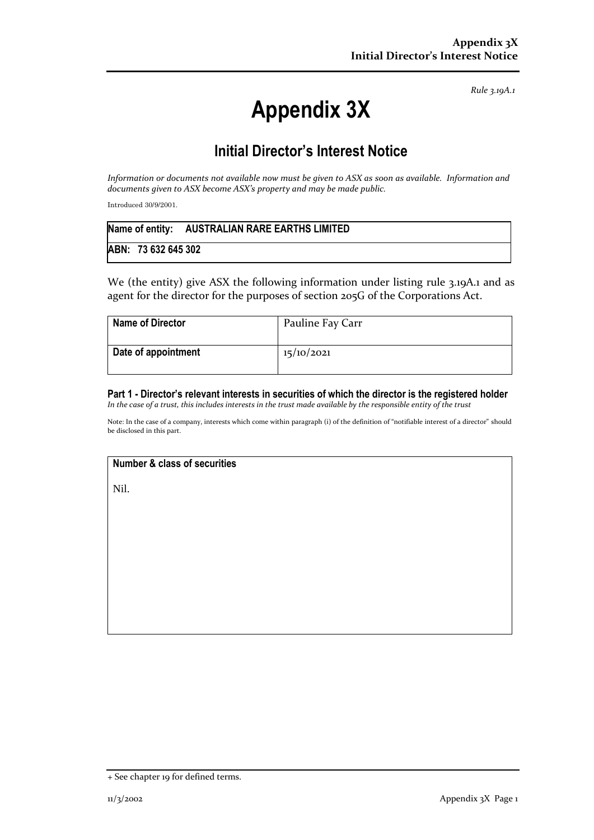*Rule 3.19A.1*

# **Appendix 3X**

### **Initial Director's Interest Notice**

*Information or documents not available now must be given to ASX as soon as available. Information and documents given to ASX become ASX's property and may be made public.*

Introduced 30/9/2001.

|                     | Name of entity: AUSTRALIAN RARE EARTHS LIMITED |
|---------------------|------------------------------------------------|
| ABN: 73 632 645 302 |                                                |

We (the entity) give ASX the following information under listing rule 3.19A.1 and as agent for the director for the purposes of section 205G of the Corporations Act.

| <b>Name of Director</b> | Pauline Fay Carr |
|-------------------------|------------------|
| Date of appointment     | 15/10/2021       |

#### **Part 1 - Director's relevant interests in securities of which the director is the registered holder** *In the case of a trust, this includes interests in the trust made available by the responsible entity of the trust*

Note: In the case of a company, interests which come within paragraph (i) of the definition of "notifiable interest of a director" should be disclosed in this part.

### **Number & class of securities**

Nil.

<sup>+</sup> See chapter 19 for defined terms.